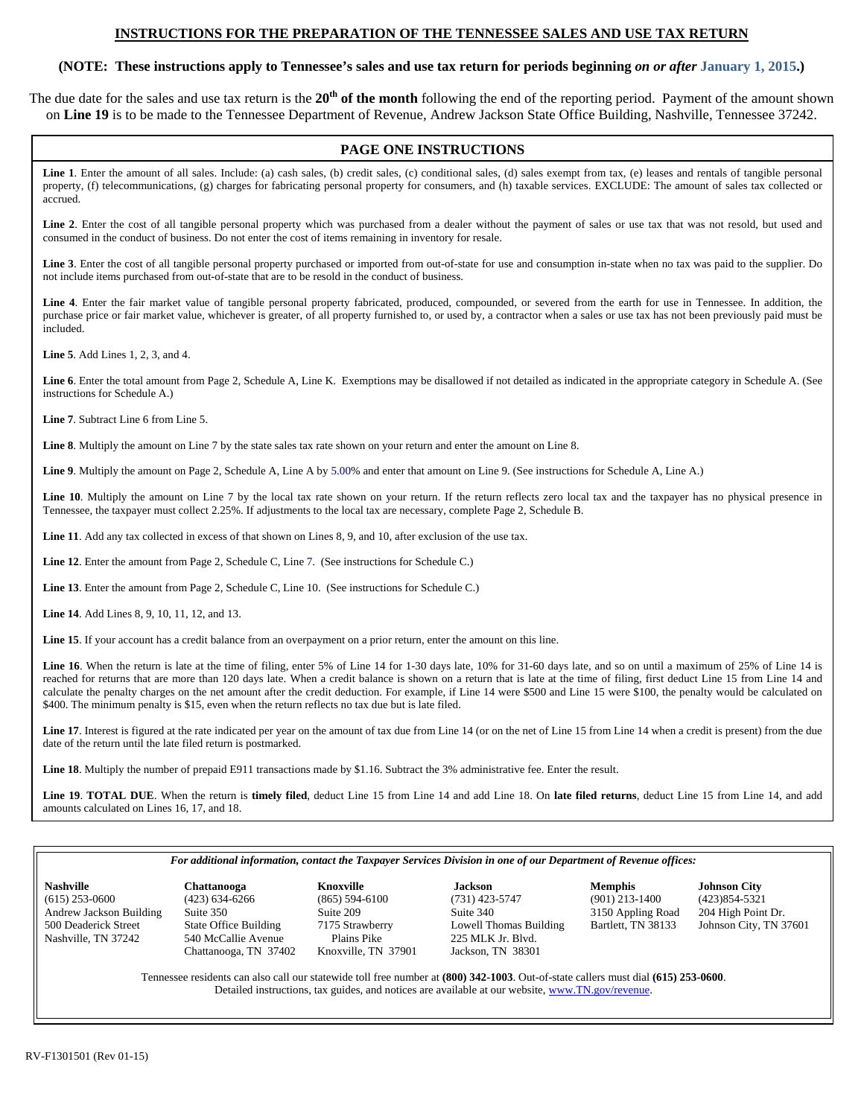### **INSTRUCTIONS FOR THE PREPARATION OF THE TENNESSEE SALES AND USE TAX RETURN**

# **(NOTE: These instructions apply to Tennessee's sales and use tax return for periods beginning** *on or after* **January 1, 2015.)**

The due date for the sales and use tax return is the **20th of the month** following the end of the reporting period. Payment of the amount shown on **Line 19** is to be made to the Tennessee Department of Revenue, Andrew Jackson State Office Building, Nashville, Tennessee 37242.

# **PAGE ONE INSTRUCTIONS**

Line 1. Enter the amount of all sales. Include: (a) cash sales, (b) credit sales, (c) conditional sales, (d) sales exempt from tax, (e) leases and rentals of tangible personal property, (f) telecommunications, (g) charges for fabricating personal property for consumers, and (h) taxable services. EXCLUDE: The amount of sales tax collected or accrued.

Line 2. Enter the cost of all tangible personal property which was purchased from a dealer without the payment of sales or use tax that was not resold, but used and consumed in the conduct of business. Do not enter the cost of items remaining in inventory for resale.

**Line 3**. Enter the cost of all tangible personal property purchased or imported from out-of-state for use and consumption in-state when no tax was paid to the supplier. Do not include items purchased from out-of-state that are to be resold in the conduct of business.

**Line 4**. Enter the fair market value of tangible personal property fabricated, produced, compounded, or severed from the earth for use in Tennessee. In addition, the purchase price or fair market value, whichever is greater, of all property furnished to, or used by, a contractor when a sales or use tax has not been previously paid must be included.

**Line 5**. Add Lines 1, 2, 3, and 4.

**Line 6**. Enter the total amount from Page 2, Schedule A, Line K. Exemptions may be disallowed if not detailed as indicated in the appropriate category in Schedule A. (See instructions for Schedule A.)

**Line 7**. Subtract Line 6 from Line 5.

**Line 8**. Multiply the amount on Line 7 by the state sales tax rate shown on your return and enter the amount on Line 8.

**Line 9**. Multiply the amount on Page 2, Schedule A, Line A by 5.00% and enter that amount on Line 9. (See instructions for Schedule A, Line A.)

Line 10. Multiply the amount on Line 7 by the local tax rate shown on your return. If the return reflects zero local tax and the taxpayer has no physical presence in Tennessee, the taxpayer must collect 2.25%. If adjustments to the local tax are necessary, complete Page 2, Schedule B.

Line 11. Add any tax collected in excess of that shown on Lines 8, 9, and 10, after exclusion of the use tax.

Line 12. Enter the amount from Page 2, Schedule C, Line 7. (See instructions for Schedule C.)

**Line 13**. Enter the amount from Page 2, Schedule C, Line 10. (See instructions for Schedule C.)

**Line 14**. Add Lines 8, 9, 10, 11, 12, and 13.

**Line 15**. If your account has a credit balance from an overpayment on a prior return, enter the amount on this line.

Line 16. When the return is late at the time of filing, enter 5% of Line 14 for 1-30 days late, 10% for 31-60 days late, and so on until a maximum of 25% of Line 14 is reached for returns that are more than 120 days late. When a credit balance is shown on a return that is late at the time of filing, first deduct Line 15 from Line 14 and calculate the penalty charges on the net amount after the credit deduction. For example, if Line 14 were \$500 and Line 15 were \$100, the penalty would be calculated on \$400. The minimum penalty is \$15, even when the return reflects no tax due but is late filed.

Line 17. Interest is figured at the rate indicated per year on the amount of tax due from Line 14 (or on the net of Line 15 from Line 14 when a credit is present) from the due date of the return until the late filed return is postmarked.

**Line 18**. Multiply the number of prepaid E911 transactions made by \$1.16. Subtract the 3% administrative fee. Enter the result.

**Line 19**. **TOTAL DUE**. When the return is **timely filed**, deduct Line 15 from Line 14 and add Line 18. On **late filed returns**, deduct Line 15 from Line 14, and add amounts calculated on Lines 16, 17, and 18.

#### *For additional information, contact the Taxpayer Services Division in one of our Department of Revenue offices:*

**Nashville Chattanooga Knoxville Jackson Memphis Johnson City**  (615) 253-0600 (423) 634-6266 (865) 594-6100 (731) 423-5747 (901) 213-1400 (423)854-5321 Andrew Jackson Building Suite 350 Suite 209 Suite 209 Suite 340 3150 Appling Road 204 High Point Dr.<br>
500 Deaderick Street State Office Building 7175 Strawberry Lowell Thomas Building Bartlett, TN 38133 Johnson City, TN 37 Nashville, TN 37242 540 McCallie Avenue Plains Pike 225 MLK Jr. Blvd. Chattanooga, TN 37402 Knoxville, TN 37901 Jackson, TN 38301

Lowell Thomas Building

Tennessee residents can also call our statewide toll free number at **(800) 342-1003**. Out-of-state callers must dial **(615) 253-0600**. Detailed instructions, tax guides, and notices are available at our website, www.TN.gov/revenue.